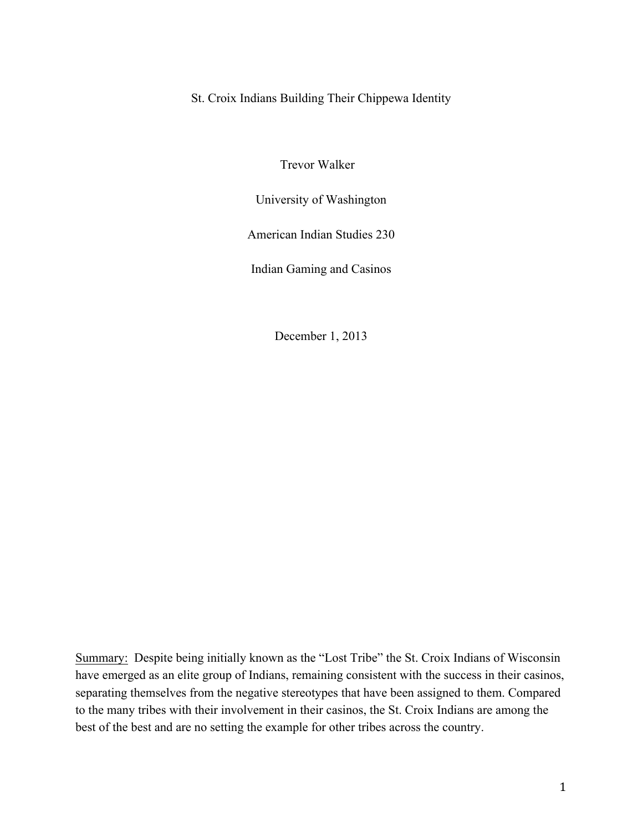St. Croix Indians Building Their Chippewa Identity

Trevor Walker

University of Washington

American Indian Studies 230

Indian Gaming and Casinos

December 1, 2013

Summary: Despite being initially known as the "Lost Tribe" the St. Croix Indians of Wisconsin have emerged as an elite group of Indians, remaining consistent with the success in their casinos, separating themselves from the negative stereotypes that have been assigned to them. Compared to the many tribes with their involvement in their casinos, the St. Croix Indians are among the best of the best and are no setting the example for other tribes across the country.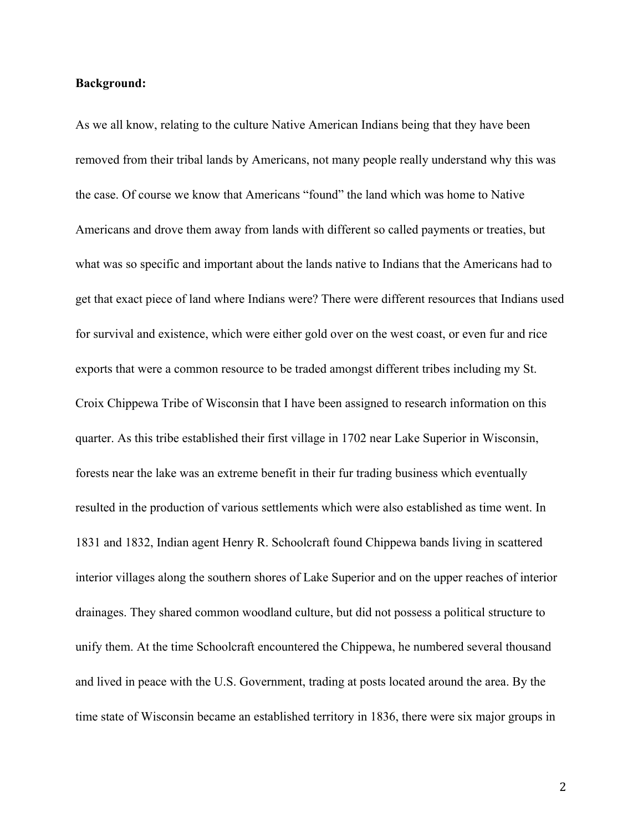# **Background:**

As we all know, relating to the culture Native American Indians being that they have been removed from their tribal lands by Americans, not many people really understand why this was the case. Of course we know that Americans "found" the land which was home to Native Americans and drove them away from lands with different so called payments or treaties, but what was so specific and important about the lands native to Indians that the Americans had to get that exact piece of land where Indians were? There were different resources that Indians used for survival and existence, which were either gold over on the west coast, or even fur and rice exports that were a common resource to be traded amongst different tribes including my St. Croix Chippewa Tribe of Wisconsin that I have been assigned to research information on this quarter. As this tribe established their first village in 1702 near Lake Superior in Wisconsin, forests near the lake was an extreme benefit in their fur trading business which eventually resulted in the production of various settlements which were also established as time went. In 1831 and 1832, Indian agent Henry R. Schoolcraft found Chippewa bands living in scattered interior villages along the southern shores of Lake Superior and on the upper reaches of interior drainages. They shared common woodland culture, but did not possess a political structure to unify them. At the time Schoolcraft encountered the Chippewa, he numbered several thousand and lived in peace with the U.S. Government, trading at posts located around the area. By the time state of Wisconsin became an established territory in 1836, there were six major groups in

2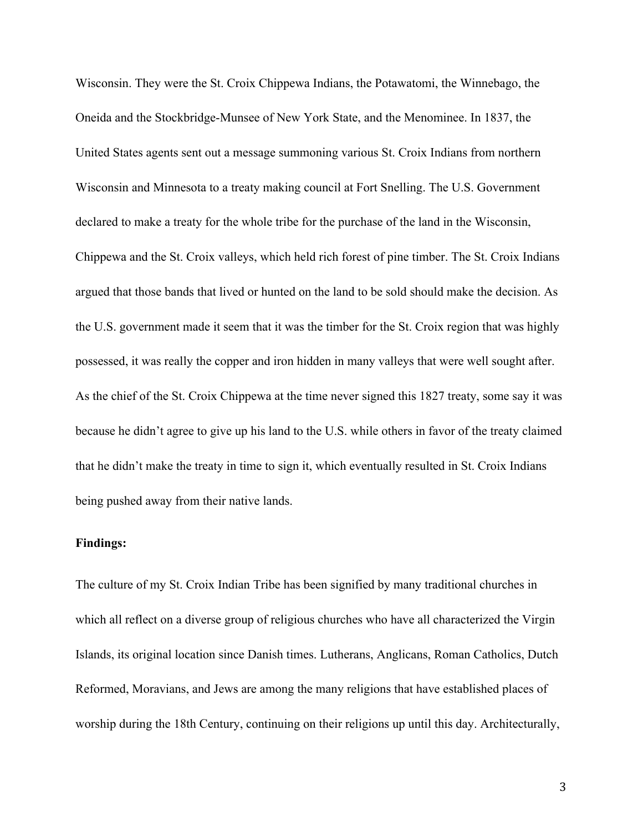Wisconsin. They were the St. Croix Chippewa Indians, the Potawatomi, the Winnebago, the Oneida and the Stockbridge-Munsee of New York State, and the Menominee. In 1837, the United States agents sent out a message summoning various St. Croix Indians from northern Wisconsin and Minnesota to a treaty making council at Fort Snelling. The U.S. Government declared to make a treaty for the whole tribe for the purchase of the land in the Wisconsin, Chippewa and the St. Croix valleys, which held rich forest of pine timber. The St. Croix Indians argued that those bands that lived or hunted on the land to be sold should make the decision. As the U.S. government made it seem that it was the timber for the St. Croix region that was highly possessed, it was really the copper and iron hidden in many valleys that were well sought after. As the chief of the St. Croix Chippewa at the time never signed this 1827 treaty, some say it was because he didn't agree to give up his land to the U.S. while others in favor of the treaty claimed that he didn't make the treaty in time to sign it, which eventually resulted in St. Croix Indians being pushed away from their native lands.

# **Findings:**

The culture of my St. Croix Indian Tribe has been signified by many traditional churches in which all reflect on a diverse group of religious churches who have all characterized the Virgin Islands, its original location since Danish times. Lutherans, Anglicans, Roman Catholics, Dutch Reformed, Moravians, and Jews are among the many religions that have established places of worship during the 18th Century, continuing on their religions up until this day. Architecturally,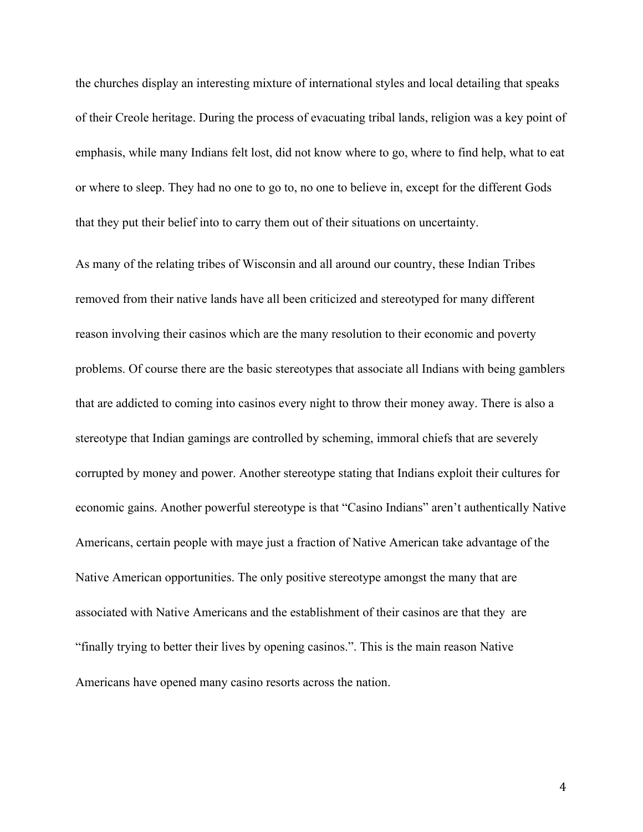the churches display an interesting mixture of international styles and local detailing that speaks of their Creole heritage. During the process of evacuating tribal lands, religion was a key point of emphasis, while many Indians felt lost, did not know where to go, where to find help, what to eat or where to sleep. They had no one to go to, no one to believe in, except for the different Gods that they put their belief into to carry them out of their situations on uncertainty.

As many of the relating tribes of Wisconsin and all around our country, these Indian Tribes removed from their native lands have all been criticized and stereotyped for many different reason involving their casinos which are the many resolution to their economic and poverty problems. Of course there are the basic stereotypes that associate all Indians with being gamblers that are addicted to coming into casinos every night to throw their money away. There is also a stereotype that Indian gamings are controlled by scheming, immoral chiefs that are severely corrupted by money and power. Another stereotype stating that Indians exploit their cultures for economic gains. Another powerful stereotype is that "Casino Indians" aren't authentically Native Americans, certain people with maye just a fraction of Native American take advantage of the Native American opportunities. The only positive stereotype amongst the many that are associated with Native Americans and the establishment of their casinos are that they are "finally trying to better their lives by opening casinos.". This is the main reason Native Americans have opened many casino resorts across the nation.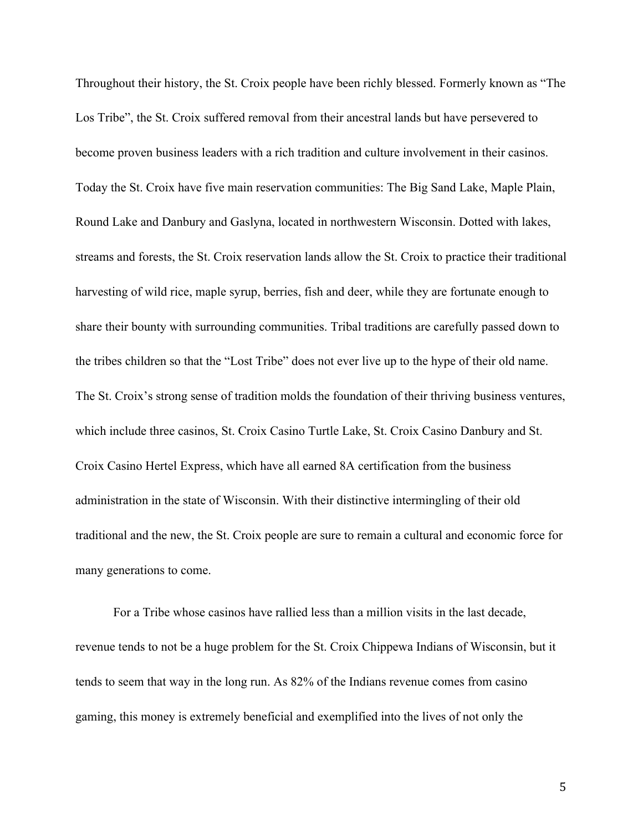Throughout their history, the St. Croix people have been richly blessed. Formerly known as "The Los Tribe", the St. Croix suffered removal from their ancestral lands but have persevered to become proven business leaders with a rich tradition and culture involvement in their casinos. Today the St. Croix have five main reservation communities: The Big Sand Lake, Maple Plain, Round Lake and Danbury and Gaslyna, located in northwestern Wisconsin. Dotted with lakes, streams and forests, the St. Croix reservation lands allow the St. Croix to practice their traditional harvesting of wild rice, maple syrup, berries, fish and deer, while they are fortunate enough to share their bounty with surrounding communities. Tribal traditions are carefully passed down to the tribes children so that the "Lost Tribe" does not ever live up to the hype of their old name. The St. Croix's strong sense of tradition molds the foundation of their thriving business ventures, which include three casinos, St. Croix Casino Turtle Lake, St. Croix Casino Danbury and St. Croix Casino Hertel Express, which have all earned 8A certification from the business administration in the state of Wisconsin. With their distinctive intermingling of their old traditional and the new, the St. Croix people are sure to remain a cultural and economic force for many generations to come.

For a Tribe whose casinos have rallied less than a million visits in the last decade, revenue tends to not be a huge problem for the St. Croix Chippewa Indians of Wisconsin, but it tends to seem that way in the long run. As 82% of the Indians revenue comes from casino gaming, this money is extremely beneficial and exemplified into the lives of not only the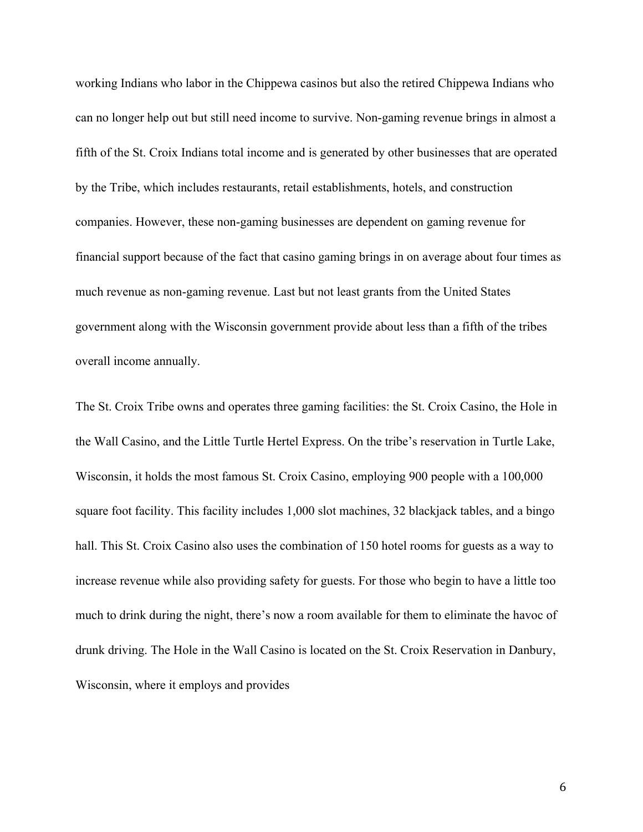working Indians who labor in the Chippewa casinos but also the retired Chippewa Indians who can no longer help out but still need income to survive. Non-gaming revenue brings in almost a fifth of the St. Croix Indians total income and is generated by other businesses that are operated by the Tribe, which includes restaurants, retail establishments, hotels, and construction companies. However, these non-gaming businesses are dependent on gaming revenue for financial support because of the fact that casino gaming brings in on average about four times as much revenue as non-gaming revenue. Last but not least grants from the United States government along with the Wisconsin government provide about less than a fifth of the tribes overall income annually.

The St. Croix Tribe owns and operates three gaming facilities: the St. Croix Casino, the Hole in the Wall Casino, and the Little Turtle Hertel Express. On the tribe's reservation in Turtle Lake, Wisconsin, it holds the most famous St. Croix Casino, employing 900 people with a 100,000 square foot facility. This facility includes 1,000 slot machines, 32 blackjack tables, and a bingo hall. This St. Croix Casino also uses the combination of 150 hotel rooms for guests as a way to increase revenue while also providing safety for guests. For those who begin to have a little too much to drink during the night, there's now a room available for them to eliminate the havoc of drunk driving. The Hole in the Wall Casino is located on the St. Croix Reservation in Danbury, Wisconsin, where it employs and provides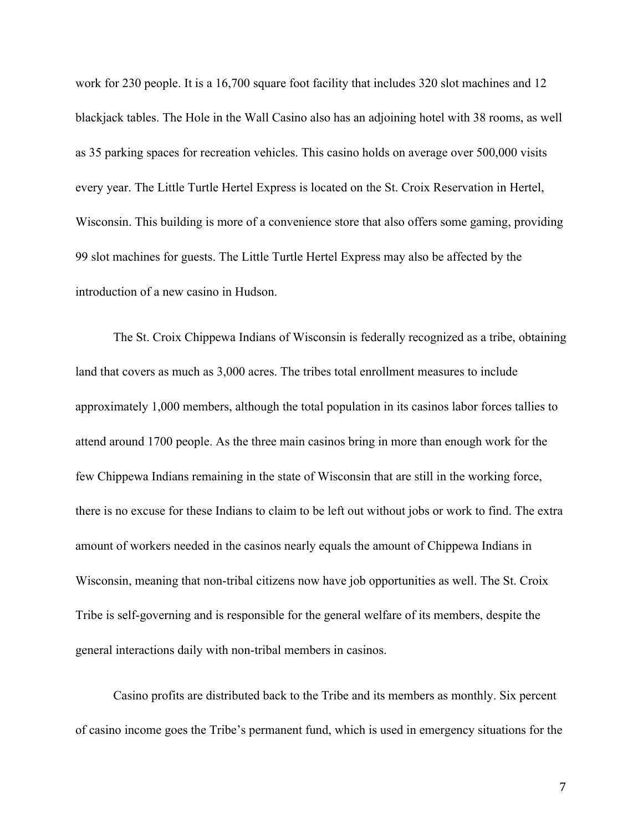work for 230 people. It is a 16,700 square foot facility that includes 320 slot machines and 12 blackjack tables. The Hole in the Wall Casino also has an adjoining hotel with 38 rooms, as well as 35 parking spaces for recreation vehicles. This casino holds on average over 500,000 visits every year. The Little Turtle Hertel Express is located on the St. Croix Reservation in Hertel, Wisconsin. This building is more of a convenience store that also offers some gaming, providing 99 slot machines for guests. The Little Turtle Hertel Express may also be affected by the introduction of a new casino in Hudson.

The St. Croix Chippewa Indians of Wisconsin is federally recognized as a tribe, obtaining land that covers as much as 3,000 acres. The tribes total enrollment measures to include approximately 1,000 members, although the total population in its casinos labor forces tallies to attend around 1700 people. As the three main casinos bring in more than enough work for the few Chippewa Indians remaining in the state of Wisconsin that are still in the working force, there is no excuse for these Indians to claim to be left out without jobs or work to find. The extra amount of workers needed in the casinos nearly equals the amount of Chippewa Indians in Wisconsin, meaning that non-tribal citizens now have job opportunities as well. The St. Croix Tribe is self-governing and is responsible for the general welfare of its members, despite the general interactions daily with non-tribal members in casinos.

Casino profits are distributed back to the Tribe and its members as monthly. Six percent of casino income goes the Tribe's permanent fund, which is used in emergency situations for the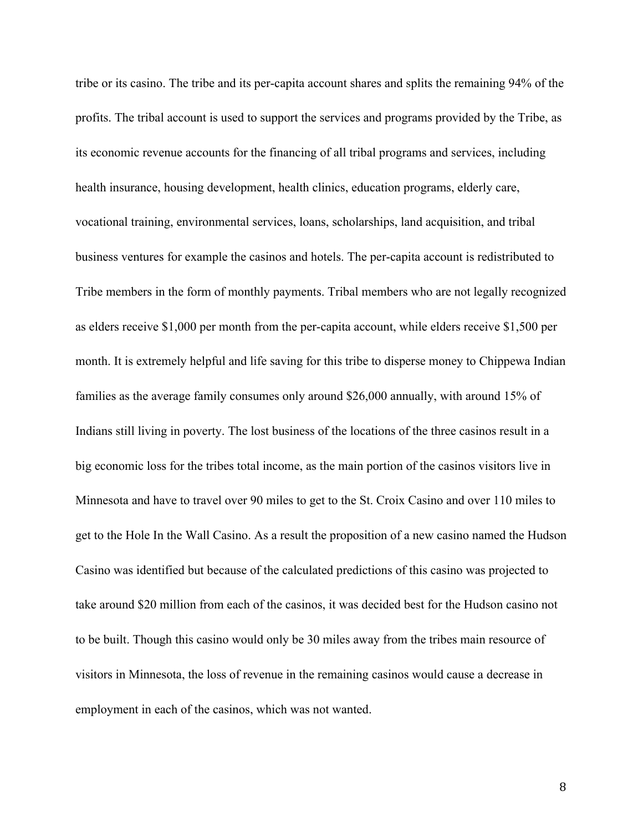tribe or its casino. The tribe and its per-capita account shares and splits the remaining 94% of the profits. The tribal account is used to support the services and programs provided by the Tribe, as its economic revenue accounts for the financing of all tribal programs and services, including health insurance, housing development, health clinics, education programs, elderly care, vocational training, environmental services, loans, scholarships, land acquisition, and tribal business ventures for example the casinos and hotels. The per-capita account is redistributed to Tribe members in the form of monthly payments. Tribal members who are not legally recognized as elders receive \$1,000 per month from the per-capita account, while elders receive \$1,500 per month. It is extremely helpful and life saving for this tribe to disperse money to Chippewa Indian families as the average family consumes only around \$26,000 annually, with around 15% of Indians still living in poverty. The lost business of the locations of the three casinos result in a big economic loss for the tribes total income, as the main portion of the casinos visitors live in Minnesota and have to travel over 90 miles to get to the St. Croix Casino and over 110 miles to get to the Hole In the Wall Casino. As a result the proposition of a new casino named the Hudson Casino was identified but because of the calculated predictions of this casino was projected to take around \$20 million from each of the casinos, it was decided best for the Hudson casino not to be built. Though this casino would only be 30 miles away from the tribes main resource of visitors in Minnesota, the loss of revenue in the remaining casinos would cause a decrease in employment in each of the casinos, which was not wanted.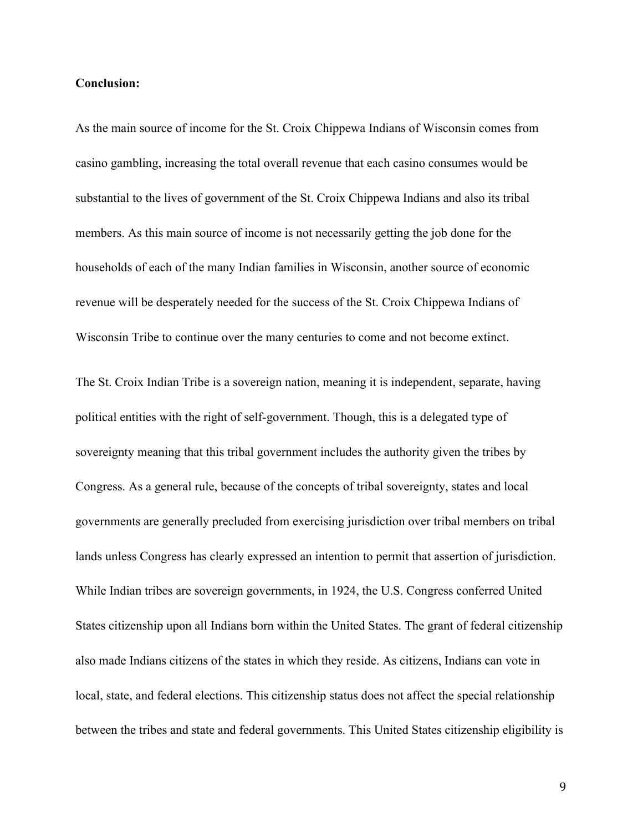# **Conclusion:**

As the main source of income for the St. Croix Chippewa Indians of Wisconsin comes from casino gambling, increasing the total overall revenue that each casino consumes would be substantial to the lives of government of the St. Croix Chippewa Indians and also its tribal members. As this main source of income is not necessarily getting the job done for the households of each of the many Indian families in Wisconsin, another source of economic revenue will be desperately needed for the success of the St. Croix Chippewa Indians of Wisconsin Tribe to continue over the many centuries to come and not become extinct.

The St. Croix Indian Tribe is a sovereign nation, meaning it is independent, separate, having political entities with the right of self-government. Though, this is a delegated type of sovereignty meaning that this tribal government includes the authority given the tribes by Congress. As a general rule, because of the concepts of tribal sovereignty, states and local governments are generally precluded from exercising jurisdiction over tribal members on tribal lands unless Congress has clearly expressed an intention to permit that assertion of jurisdiction. While Indian tribes are sovereign governments, in 1924, the U.S. Congress conferred United States citizenship upon all Indians born within the United States. The grant of federal citizenship also made Indians citizens of the states in which they reside. As citizens, Indians can vote in local, state, and federal elections. This citizenship status does not affect the special relationship between the tribes and state and federal governments. This United States citizenship eligibility is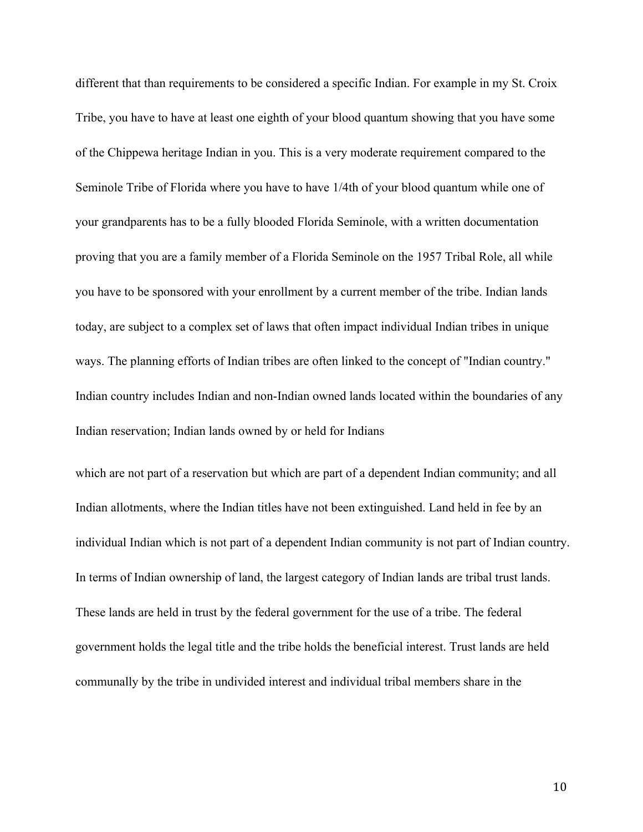different that than requirements to be considered a specific Indian. For example in my St. Croix Tribe, you have to have at least one eighth of your blood quantum showing that you have some of the Chippewa heritage Indian in you. This is a very moderate requirement compared to the Seminole Tribe of Florida where you have to have 1/4th of your blood quantum while one of your grandparents has to be a fully blooded Florida Seminole, with a written documentation proving that you are a family member of a Florida Seminole on the 1957 Tribal Role, all while you have to be sponsored with your enrollment by a current member of the tribe. Indian lands today, are subject to a complex set of laws that often impact individual Indian tribes in unique ways. The planning efforts of Indian tribes are often linked to the concept of "Indian country." Indian country includes Indian and non-Indian owned lands located within the boundaries of any Indian reservation; Indian lands owned by or held for Indians

which are not part of a reservation but which are part of a dependent Indian community; and all Indian allotments, where the Indian titles have not been extinguished. Land held in fee by an individual Indian which is not part of a dependent Indian community is not part of Indian country. In terms of Indian ownership of land, the largest category of Indian lands are tribal trust lands. These lands are held in trust by the federal government for the use of a tribe. The federal government holds the legal title and the tribe holds the beneficial interest. Trust lands are held communally by the tribe in undivided interest and individual tribal members share in the

10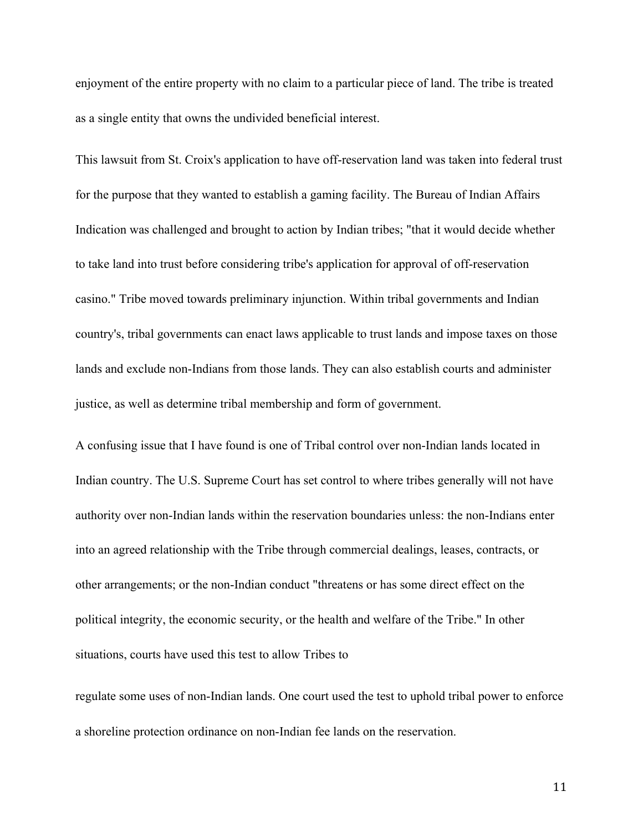enjoyment of the entire property with no claim to a particular piece of land. The tribe is treated as a single entity that owns the undivided beneficial interest.

This lawsuit from St. Croix's application to have off-reservation land was taken into federal trust for the purpose that they wanted to establish a gaming facility. The Bureau of Indian Affairs Indication was challenged and brought to action by Indian tribes; "that it would decide whether to take land into trust before considering tribe's application for approval of off-reservation casino." Tribe moved towards preliminary injunction. Within tribal governments and Indian country's, tribal governments can enact laws applicable to trust lands and impose taxes on those lands and exclude non-Indians from those lands. They can also establish courts and administer justice, as well as determine tribal membership and form of government.

A confusing issue that I have found is one of Tribal control over non-Indian lands located in Indian country. The U.S. Supreme Court has set control to where tribes generally will not have authority over non-Indian lands within the reservation boundaries unless: the non-Indians enter into an agreed relationship with the Tribe through commercial dealings, leases, contracts, or other arrangements; or the non-Indian conduct "threatens or has some direct effect on the political integrity, the economic security, or the health and welfare of the Tribe." In other situations, courts have used this test to allow Tribes to

regulate some uses of non-Indian lands. One court used the test to uphold tribal power to enforce a shoreline protection ordinance on non-Indian fee lands on the reservation.

11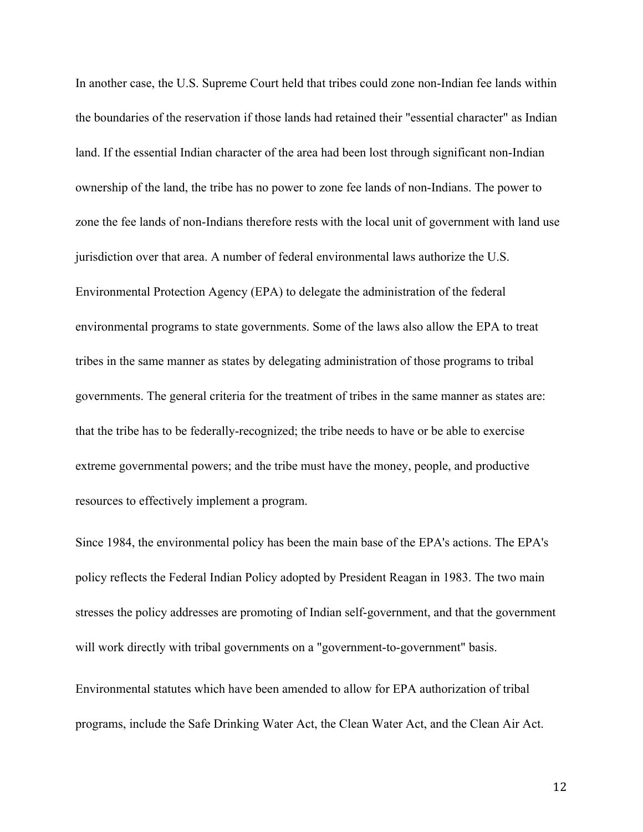In another case, the U.S. Supreme Court held that tribes could zone non-Indian fee lands within the boundaries of the reservation if those lands had retained their "essential character" as Indian land. If the essential Indian character of the area had been lost through significant non-Indian ownership of the land, the tribe has no power to zone fee lands of non-Indians. The power to zone the fee lands of non-Indians therefore rests with the local unit of government with land use jurisdiction over that area. A number of federal environmental laws authorize the U.S. Environmental Protection Agency (EPA) to delegate the administration of the federal environmental programs to state governments. Some of the laws also allow the EPA to treat tribes in the same manner as states by delegating administration of those programs to tribal governments. The general criteria for the treatment of tribes in the same manner as states are: that the tribe has to be federally-recognized; the tribe needs to have or be able to exercise extreme governmental powers; and the tribe must have the money, people, and productive resources to effectively implement a program.

Since 1984, the environmental policy has been the main base of the EPA's actions. The EPA's policy reflects the Federal Indian Policy adopted by President Reagan in 1983. The two main stresses the policy addresses are promoting of Indian self-government, and that the government will work directly with tribal governments on a "government-to-government" basis.

Environmental statutes which have been amended to allow for EPA authorization of tribal programs, include the Safe Drinking Water Act, the Clean Water Act, and the Clean Air Act.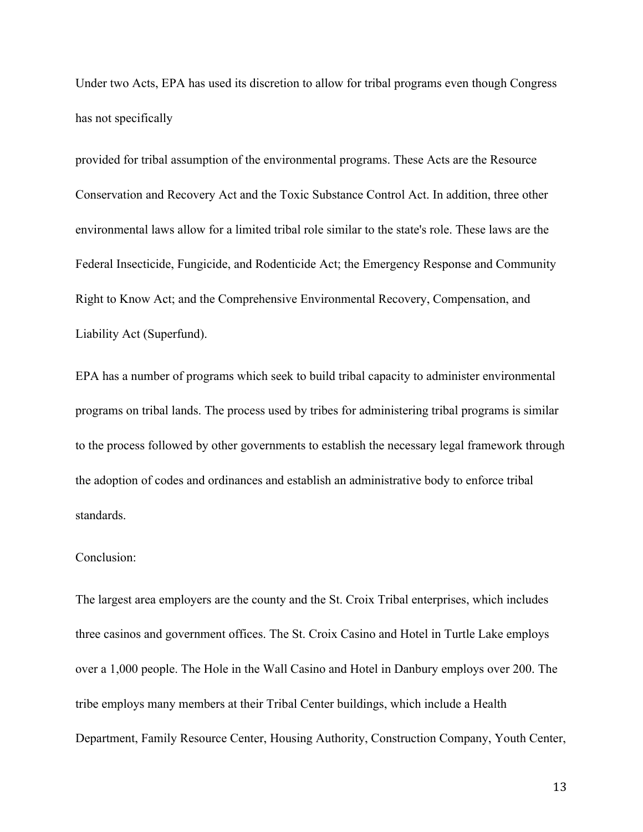Under two Acts, EPA has used its discretion to allow for tribal programs even though Congress has not specifically

provided for tribal assumption of the environmental programs. These Acts are the Resource Conservation and Recovery Act and the Toxic Substance Control Act. In addition, three other environmental laws allow for a limited tribal role similar to the state's role. These laws are the Federal Insecticide, Fungicide, and Rodenticide Act; the Emergency Response and Community Right to Know Act; and the Comprehensive Environmental Recovery, Compensation, and Liability Act (Superfund).

EPA has a number of programs which seek to build tribal capacity to administer environmental programs on tribal lands. The process used by tribes for administering tribal programs is similar to the process followed by other governments to establish the necessary legal framework through the adoption of codes and ordinances and establish an administrative body to enforce tribal standards.

# Conclusion:

The largest area employers are the county and the St. Croix Tribal enterprises, which includes three casinos and government offices. The St. Croix Casino and Hotel in Turtle Lake employs over a 1,000 people. The Hole in the Wall Casino and Hotel in Danbury employs over 200. The tribe employs many members at their Tribal Center buildings, which include a Health Department, Family Resource Center, Housing Authority, Construction Company, Youth Center,